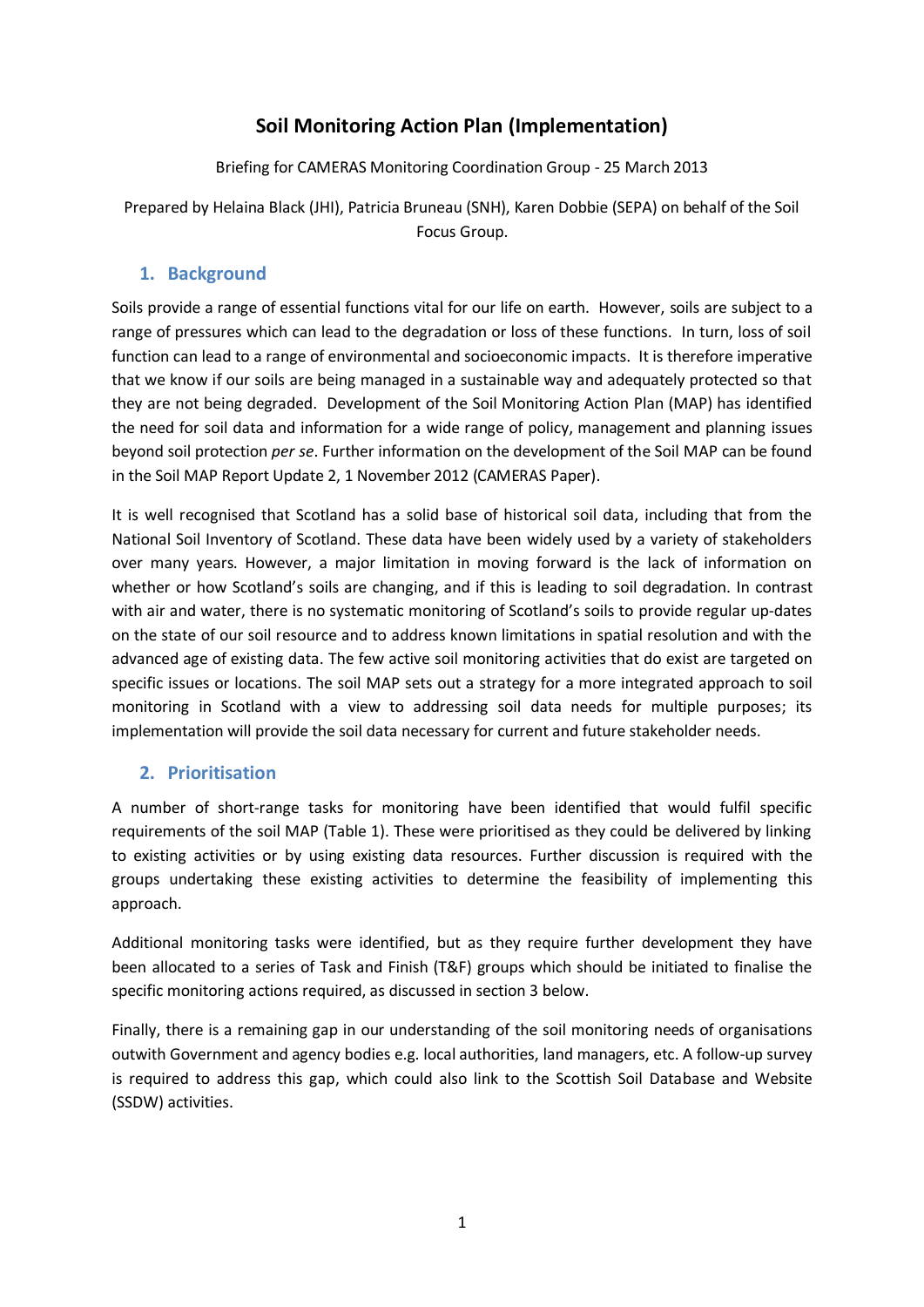## **Soil Monitoring Action Plan (Implementation)**

Briefing for CAMERAS Monitoring Coordination Group - 25 March 2013

Prepared by Helaina Black (JHI), Patricia Bruneau (SNH), Karen Dobbie (SEPA) on behalf of the Soil Focus Group.

## **1. Background**

Soils provide a range of essential functions vital for our life on earth. However, soils are subject to a range of pressures which can lead to the degradation or loss of these functions. In turn, loss of soil function can lead to a range of environmental and socioeconomic impacts. It is therefore imperative that we know if our soils are being managed in a sustainable way and adequately protected so that they are not being degraded. Development of the Soil Monitoring Action Plan (MAP) has identified the need for soil data and information for a wide range of policy, management and planning issues beyond soil protection *per se*. Further information on the development of the Soil MAP can be found in the Soil MAP Report Update 2, 1 November 2012 (CAMERAS Paper).

It is well recognised that Scotland has a solid base of historical soil data, including that from the National Soil Inventory of Scotland. These data have been widely used by a variety of stakeholders over many years. However, a major limitation in moving forward is the lack of information on whether or how Scotland's soils are changing, and if this is leading to soil degradation. In contrast with air and water, there is no systematic monitoring of Scotland's soils to provide regular up-dates on the state of our soil resource and to address known limitations in spatial resolution and with the advanced age of existing data. The few active soil monitoring activities that do exist are targeted on specific issues or locations. The soil MAP sets out a strategy for a more integrated approach to soil monitoring in Scotland with a view to addressing soil data needs for multiple purposes; its implementation will provide the soil data necessary for current and future stakeholder needs.

### **2. Prioritisation**

A number of short-range tasks for monitoring have been identified that would fulfil specific requirements of the soil MAP (Table 1). These were prioritised as they could be delivered by linking to existing activities or by using existing data resources. Further discussion is required with the groups undertaking these existing activities to determine the feasibility of implementing this approach.

Additional monitoring tasks were identified, but as they require further development they have been allocated to a series of Task and Finish (T&F) groups which should be initiated to finalise the specific monitoring actions required, as discussed in section 3 below.

Finally, there is a remaining gap in our understanding of the soil monitoring needs of organisations outwith Government and agency bodies e.g. local authorities, land managers, etc. A follow-up survey is required to address this gap, which could also link to the Scottish Soil Database and Website (SSDW) activities.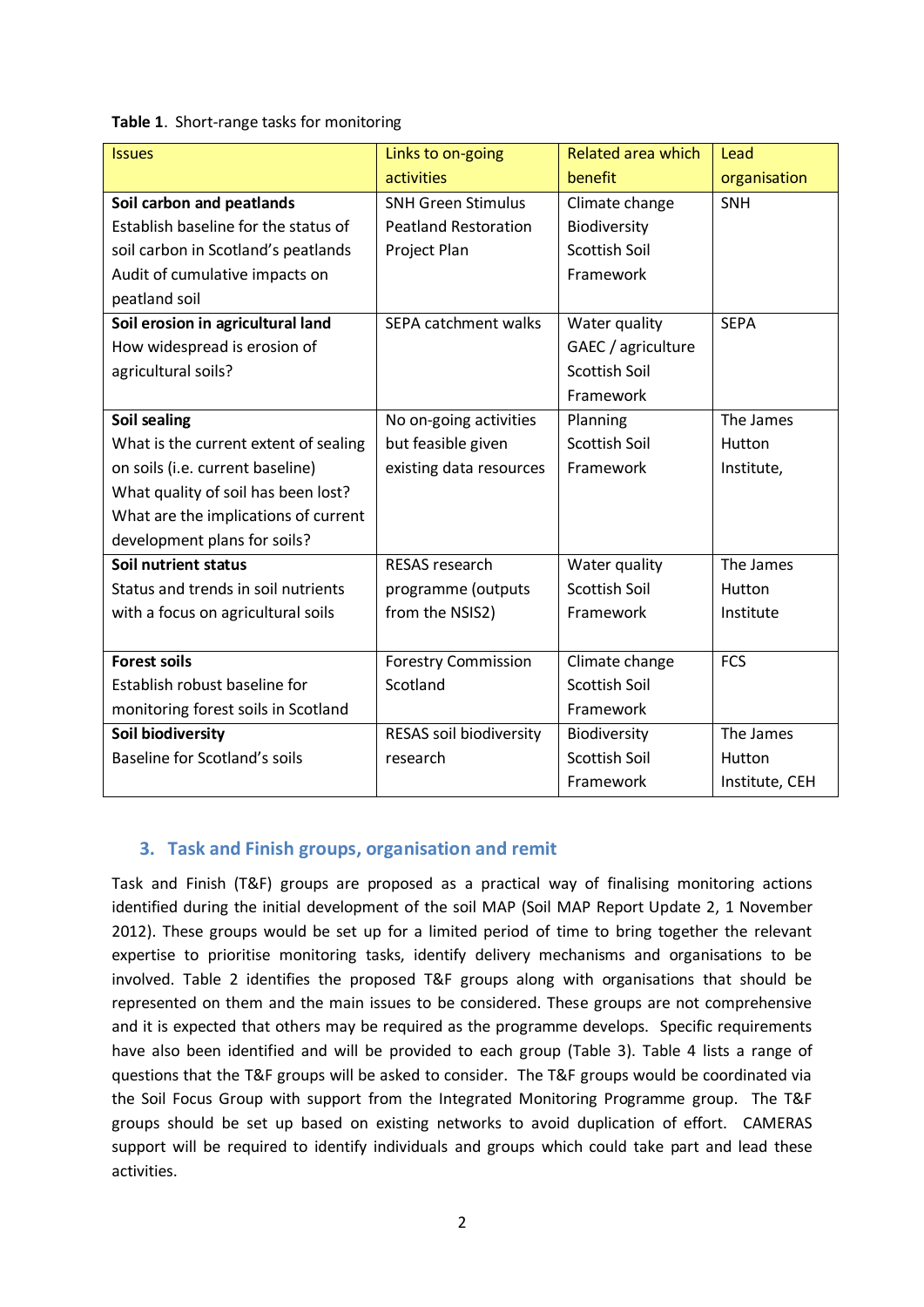#### **Table 1**. Short-range tasks for monitoring

| <b>Issues</b>                         | Links to on-going           | <b>Related area which</b> | Lead           |
|---------------------------------------|-----------------------------|---------------------------|----------------|
|                                       | activities                  | benefit                   | organisation   |
| Soil carbon and peatlands             | <b>SNH Green Stimulus</b>   | Climate change            | <b>SNH</b>     |
| Establish baseline for the status of  | <b>Peatland Restoration</b> | Biodiversity              |                |
| soil carbon in Scotland's peatlands   | Project Plan                | <b>Scottish Soil</b>      |                |
| Audit of cumulative impacts on        |                             | Framework                 |                |
| peatland soil                         |                             |                           |                |
| Soil erosion in agricultural land     | SEPA catchment walks        | Water quality             | <b>SEPA</b>    |
| How widespread is erosion of          |                             | GAEC / agriculture        |                |
| agricultural soils?                   |                             | <b>Scottish Soil</b>      |                |
|                                       |                             | Framework                 |                |
| Soil sealing                          | No on-going activities      | Planning                  | The James      |
| What is the current extent of sealing | but feasible given          | <b>Scottish Soil</b>      | Hutton         |
| on soils (i.e. current baseline)      | existing data resources     | Framework                 | Institute,     |
| What quality of soil has been lost?   |                             |                           |                |
| What are the implications of current  |                             |                           |                |
| development plans for soils?          |                             |                           |                |
| Soil nutrient status                  | <b>RESAS</b> research       | Water quality             | The James      |
| Status and trends in soil nutrients   | programme (outputs          | <b>Scottish Soil</b>      | Hutton         |
| with a focus on agricultural soils    | from the NSIS2)             | Framework                 | Institute      |
|                                       |                             |                           |                |
| <b>Forest soils</b>                   | <b>Forestry Commission</b>  | Climate change            | <b>FCS</b>     |
| Establish robust baseline for         | Scotland                    | <b>Scottish Soil</b>      |                |
| monitoring forest soils in Scotland   |                             | Framework                 |                |
| <b>Soil biodiversity</b>              | RESAS soil biodiversity     | Biodiversity              | The James      |
| Baseline for Scotland's soils         | research                    | <b>Scottish Soil</b>      | Hutton         |
|                                       |                             | Framework                 | Institute, CEH |

#### **3. Task and Finish groups, organisation and remit**

Task and Finish (T&F) groups are proposed as a practical way of finalising monitoring actions identified during the initial development of the soil MAP (Soil MAP Report Update 2, 1 November 2012). These groups would be set up for a limited period of time to bring together the relevant expertise to prioritise monitoring tasks, identify delivery mechanisms and organisations to be involved. Table 2 identifies the proposed T&F groups along with organisations that should be represented on them and the main issues to be considered. These groups are not comprehensive and it is expected that others may be required as the programme develops. Specific requirements have also been identified and will be provided to each group (Table 3). Table 4 lists a range of questions that the T&F groups will be asked to consider. The T&F groups would be coordinated via the Soil Focus Group with support from the Integrated Monitoring Programme group. The T&F groups should be set up based on existing networks to avoid duplication of effort. CAMERAS support will be required to identify individuals and groups which could take part and lead these activities.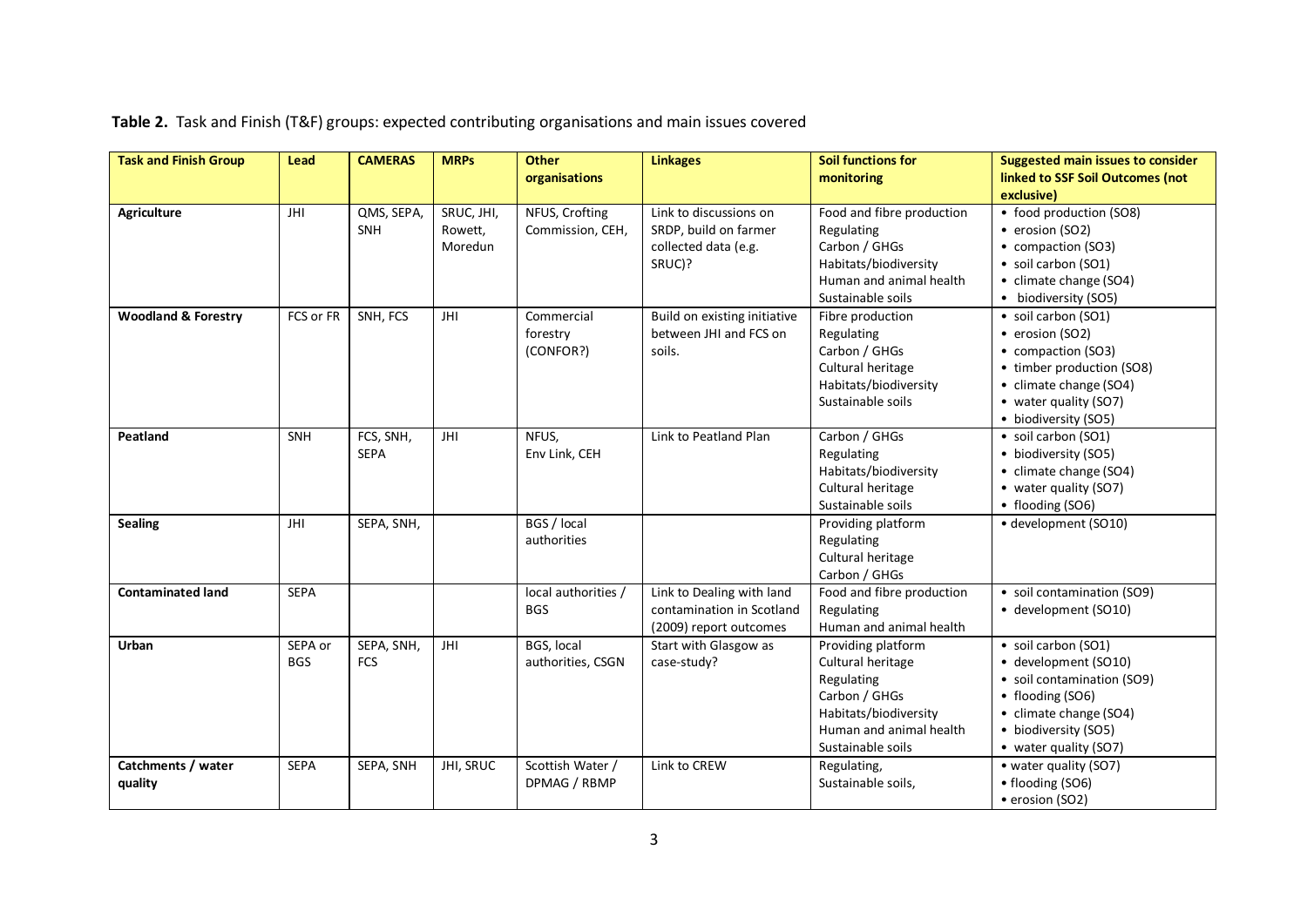| <b>Task and Finish Group</b>   | Lead                  | <b>CAMERAS</b>           | <b>MRPs</b>                      | <b>Other</b><br>organisations       | <b>Linkages</b>                                                                   | <b>Soil functions for</b><br>monitoring                                                                                                         | <b>Suggested main issues to consider</b><br>linked to SSF Soil Outcomes (not                                                                                             |
|--------------------------------|-----------------------|--------------------------|----------------------------------|-------------------------------------|-----------------------------------------------------------------------------------|-------------------------------------------------------------------------------------------------------------------------------------------------|--------------------------------------------------------------------------------------------------------------------------------------------------------------------------|
|                                |                       |                          |                                  |                                     |                                                                                   |                                                                                                                                                 | exclusive)                                                                                                                                                               |
| <b>Agriculture</b>             | JHI                   | QMS, SEPA,<br>SNH        | SRUC, JHI,<br>Rowett,<br>Moredun | NFUS, Crofting<br>Commission, CEH,  | Link to discussions on<br>SRDP, build on farmer<br>collected data (e.g.<br>SRUC)? | Food and fibre production<br>Regulating<br>Carbon / GHGs<br>Habitats/biodiversity<br>Human and animal health<br>Sustainable soils               | • food production (SO8)<br>• erosion (SO2)<br>• compaction (SO3)<br>· soil carbon (SO1)<br>• climate change (SO4)<br>• biodiversity (SO5)                                |
| <b>Woodland &amp; Forestry</b> | FCS or FR             | SNH, FCS                 | JHI                              | Commercial<br>forestry<br>(CONFOR?) | Build on existing initiative<br>between JHI and FCS on<br>soils.                  | Fibre production<br>Regulating<br>Carbon / GHGs<br>Cultural heritage<br>Habitats/biodiversity<br>Sustainable soils                              | • soil carbon (SO1)<br>• erosion (SO2)<br>• compaction (SO3)<br>• timber production (SO8)<br>• climate change (SO4)<br>• water quality (SO7)<br>• biodiversity (SO5)     |
| Peatland                       | SNH                   | FCS, SNH,<br><b>SEPA</b> | JHI                              | NFUS,<br>Env Link, CEH              | Link to Peatland Plan                                                             | Carbon / GHGs<br>Regulating<br>Habitats/biodiversity<br>Cultural heritage<br>Sustainable soils                                                  | • soil carbon (SO1)<br>• biodiversity (SO5)<br>• climate change (SO4)<br>• water quality (SO7)<br>• flooding (SO6)                                                       |
| <b>Sealing</b>                 | JHI                   | SEPA, SNH,               |                                  | BGS / local<br>authorities          |                                                                                   | Providing platform<br>Regulating<br>Cultural heritage<br>Carbon / GHGs                                                                          | · development (SO10)                                                                                                                                                     |
| <b>Contaminated land</b>       | <b>SEPA</b>           |                          |                                  | local authorities /<br><b>BGS</b>   | Link to Dealing with land<br>contamination in Scotland<br>(2009) report outcomes  | Food and fibre production<br>Regulating<br>Human and animal health                                                                              | • soil contamination (SO9)<br>• development (SO10)                                                                                                                       |
| Urban                          | SEPA or<br><b>BGS</b> | SEPA, SNH,<br><b>FCS</b> | JHI                              | BGS, local<br>authorities, CSGN     | Start with Glasgow as<br>case-study?                                              | Providing platform<br>Cultural heritage<br>Regulating<br>Carbon / GHGs<br>Habitats/biodiversity<br>Human and animal health<br>Sustainable soils | · soil carbon (SO1)<br>• development (SO10)<br>· soil contamination (SO9)<br>• flooding (SO6)<br>• climate change (SO4)<br>• biodiversity (SO5)<br>• water quality (SO7) |
| Catchments / water<br>quality  | <b>SEPA</b>           | SEPA, SNH                | JHI, SRUC                        | Scottish Water /<br>DPMAG / RBMP    | Link to CREW                                                                      | Regulating,<br>Sustainable soils,                                                                                                               | • water quality (SO7)<br>• flooding (SO6)<br>• erosion (SO2)                                                                                                             |

**Table 2.** Task and Finish (T&F) groups: expected contributing organisations and main issues covered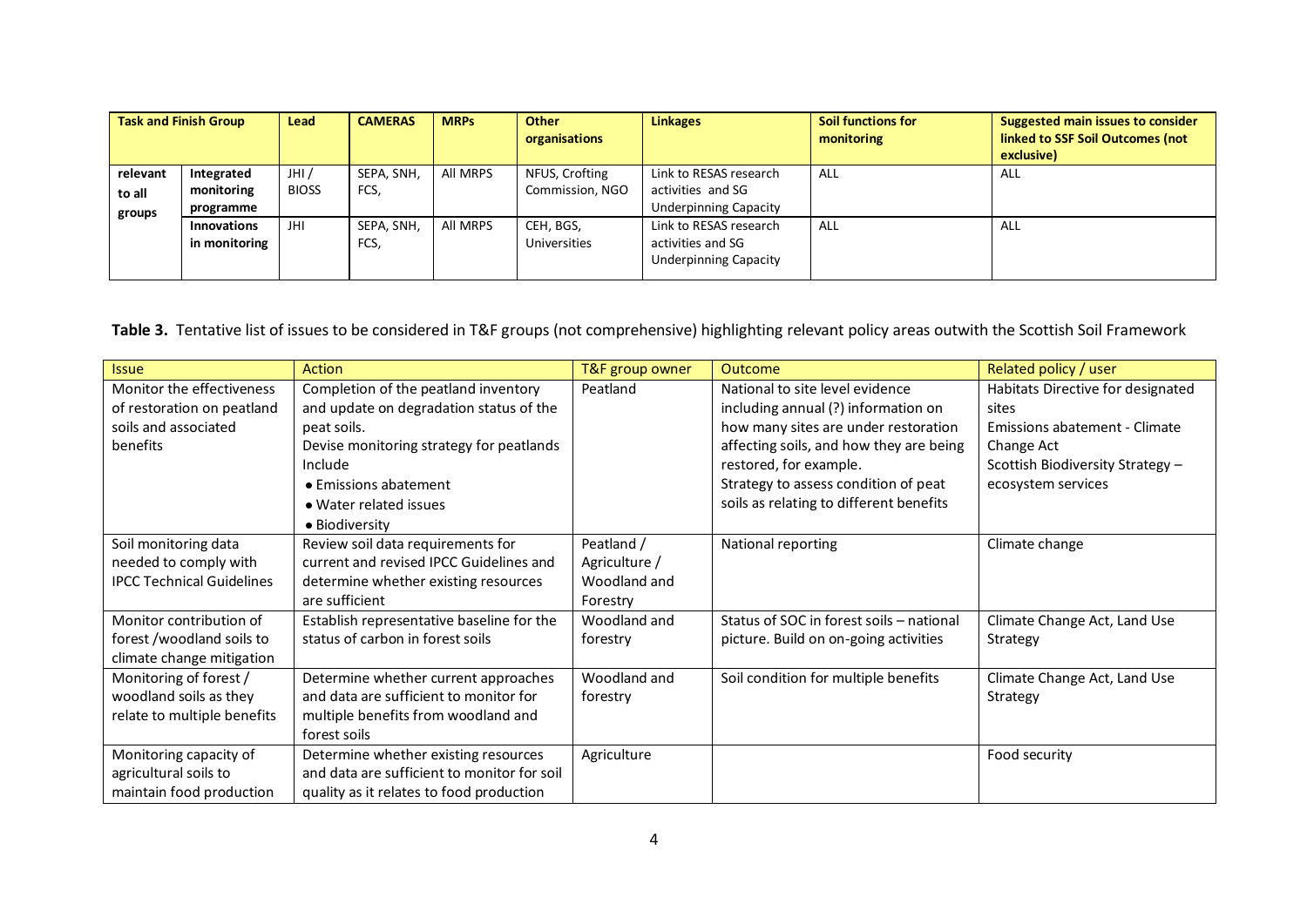| <b>Task and Finish Group</b> |                                       | Lead                  | <b>CAMERAS</b>     | <b>MRPs</b> | Other<br>organisations            | <b>Linkages</b>                                                             | Soil functions for<br>monitoring | <b>Suggested main issues to consider</b><br>linked to SSF Soil Outcomes (not<br>exclusive) |
|------------------------------|---------------------------------------|-----------------------|--------------------|-------------|-----------------------------------|-----------------------------------------------------------------------------|----------------------------------|--------------------------------------------------------------------------------------------|
| relevant<br>to all<br>groups | Integrated<br>monitoring<br>programme | JHI /<br><b>BIOSS</b> | SEPA, SNH,<br>FCS, | All MRPS    | NFUS, Crofting<br>Commission, NGO | Link to RESAS research<br>activities and SG<br><b>Underpinning Capacity</b> | ALL                              | ALL                                                                                        |
|                              | <b>Innovations</b><br>in monitoring   | JHI                   | SEPA, SNH<br>FCS,  | All MRPS    | CEH, BGS,<br>Universities         | Link to RESAS research<br>activities and SG<br><b>Underpinning Capacity</b> | ALL                              | ALL                                                                                        |

# **Table 3.** Tentative list of issues to be considered in T&F groups (not comprehensive) highlighting relevant policy areas outwith the Scottish Soil Framework

| <b>Issue</b>                     | <b>Action</b>                               | T&F group owner | <b>Outcome</b>                           | Related policy / user             |
|----------------------------------|---------------------------------------------|-----------------|------------------------------------------|-----------------------------------|
| Monitor the effectiveness        | Completion of the peatland inventory        | Peatland        | National to site level evidence          | Habitats Directive for designated |
| of restoration on peatland       | and update on degradation status of the     |                 | including annual (?) information on      | sites                             |
| soils and associated             | peat soils.                                 |                 | how many sites are under restoration     | Emissions abatement - Climate     |
| benefits                         | Devise monitoring strategy for peatlands    |                 | affecting soils, and how they are being  | Change Act                        |
|                                  | Include                                     |                 | restored, for example.                   | Scottish Biodiversity Strategy -  |
|                                  | • Emissions abatement                       |                 | Strategy to assess condition of peat     | ecosystem services                |
|                                  | • Water related issues                      |                 | soils as relating to different benefits  |                                   |
|                                  | • Biodiversity                              |                 |                                          |                                   |
| Soil monitoring data             | Review soil data requirements for           | Peatland /      | National reporting                       | Climate change                    |
| needed to comply with            | current and revised IPCC Guidelines and     | Agriculture /   |                                          |                                   |
| <b>IPCC Technical Guidelines</b> | determine whether existing resources        | Woodland and    |                                          |                                   |
|                                  | are sufficient                              | Forestry        |                                          |                                   |
| Monitor contribution of          | Establish representative baseline for the   | Woodland and    | Status of SOC in forest soils - national | Climate Change Act, Land Use      |
| forest /woodland soils to        | status of carbon in forest soils            | forestry        | picture. Build on on-going activities    | Strategy                          |
| climate change mitigation        |                                             |                 |                                          |                                   |
| Monitoring of forest /           | Determine whether current approaches        | Woodland and    | Soil condition for multiple benefits     | Climate Change Act, Land Use      |
| woodland soils as they           | and data are sufficient to monitor for      | forestry        |                                          | Strategy                          |
| relate to multiple benefits      | multiple benefits from woodland and         |                 |                                          |                                   |
|                                  | forest soils                                |                 |                                          |                                   |
| Monitoring capacity of           | Determine whether existing resources        | Agriculture     |                                          | Food security                     |
| agricultural soils to            | and data are sufficient to monitor for soil |                 |                                          |                                   |
| maintain food production         | quality as it relates to food production    |                 |                                          |                                   |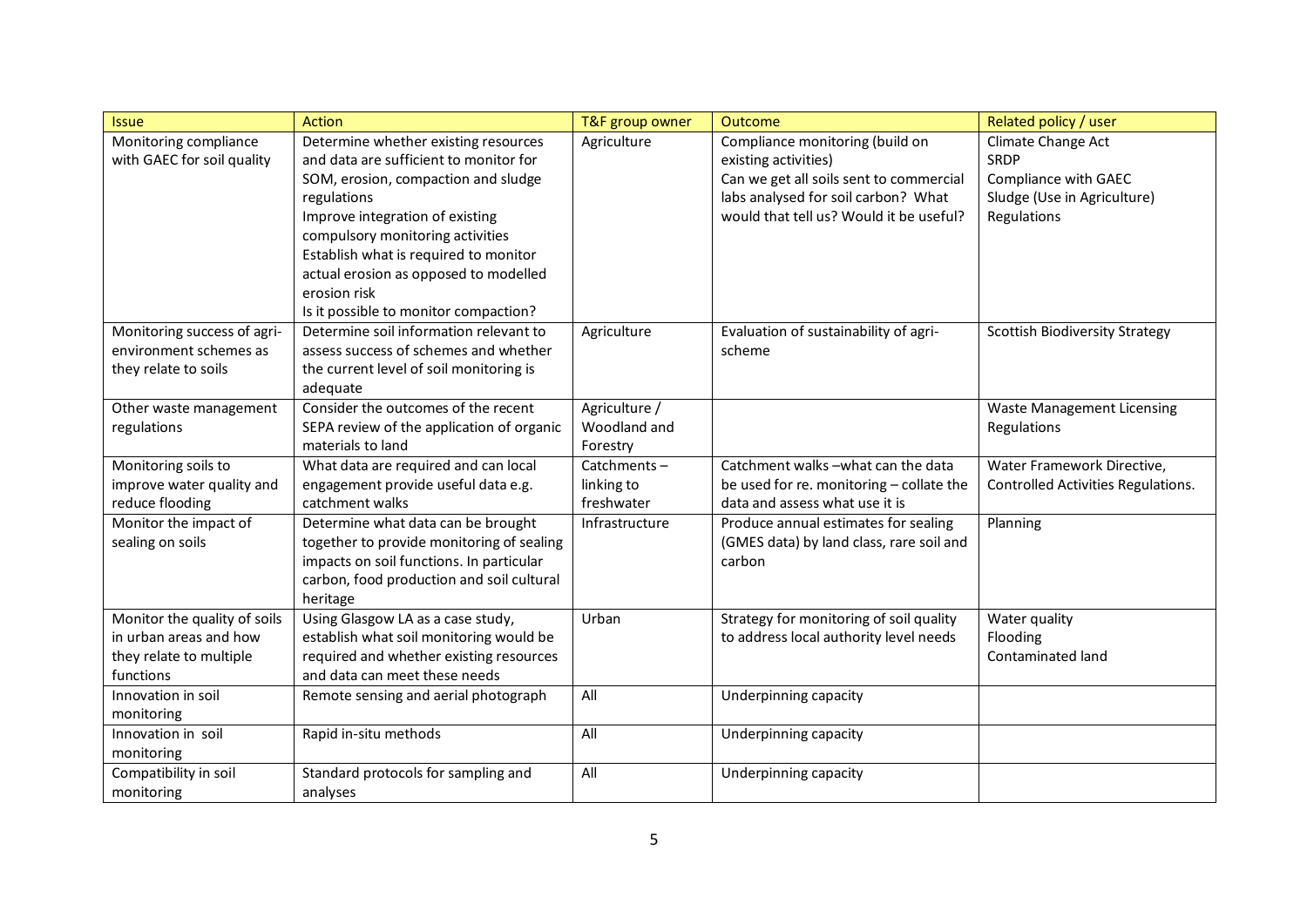| <b>Issue</b>                 | <b>Action</b>                             | T&F group owner | <b>Outcome</b>                           | Related policy / user                 |
|------------------------------|-------------------------------------------|-----------------|------------------------------------------|---------------------------------------|
| Monitoring compliance        | Determine whether existing resources      | Agriculture     | Compliance monitoring (build on          | Climate Change Act                    |
| with GAEC for soil quality   | and data are sufficient to monitor for    |                 | existing activities)                     | <b>SRDP</b>                           |
|                              | SOM, erosion, compaction and sludge       |                 | Can we get all soils sent to commercial  | <b>Compliance with GAEC</b>           |
|                              | regulations                               |                 | labs analysed for soil carbon? What      | Sludge (Use in Agriculture)           |
|                              | Improve integration of existing           |                 | would that tell us? Would it be useful?  | Regulations                           |
|                              | compulsory monitoring activities          |                 |                                          |                                       |
|                              | Establish what is required to monitor     |                 |                                          |                                       |
|                              | actual erosion as opposed to modelled     |                 |                                          |                                       |
|                              | erosion risk                              |                 |                                          |                                       |
|                              | Is it possible to monitor compaction?     |                 |                                          |                                       |
| Monitoring success of agri-  | Determine soil information relevant to    | Agriculture     | Evaluation of sustainability of agri-    | <b>Scottish Biodiversity Strategy</b> |
| environment schemes as       | assess success of schemes and whether     |                 | scheme                                   |                                       |
| they relate to soils         | the current level of soil monitoring is   |                 |                                          |                                       |
|                              | adequate                                  |                 |                                          |                                       |
| Other waste management       | Consider the outcomes of the recent       | Agriculture /   |                                          | <b>Waste Management Licensing</b>     |
| regulations                  | SEPA review of the application of organic | Woodland and    |                                          | Regulations                           |
|                              | materials to land                         | Forestry        |                                          |                                       |
| Monitoring soils to          | What data are required and can local      | Catchments-     | Catchment walks -what can the data       | Water Framework Directive,            |
| improve water quality and    | engagement provide useful data e.g.       | linking to      | be used for re. monitoring - collate the | Controlled Activities Regulations.    |
| reduce flooding              | catchment walks                           | freshwater      | data and assess what use it is           |                                       |
| Monitor the impact of        | Determine what data can be brought        | Infrastructure  | Produce annual estimates for sealing     | Planning                              |
| sealing on soils             | together to provide monitoring of sealing |                 | (GMES data) by land class, rare soil and |                                       |
|                              | impacts on soil functions. In particular  |                 | carbon                                   |                                       |
|                              | carbon, food production and soil cultural |                 |                                          |                                       |
|                              | heritage                                  |                 |                                          |                                       |
| Monitor the quality of soils | Using Glasgow LA as a case study,         | Urban           | Strategy for monitoring of soil quality  | Water quality                         |
| in urban areas and how       | establish what soil monitoring would be   |                 | to address local authority level needs   | Flooding                              |
| they relate to multiple      | required and whether existing resources   |                 |                                          | Contaminated land                     |
| functions                    | and data can meet these needs             |                 |                                          |                                       |
| Innovation in soil           | Remote sensing and aerial photograph      | All             | Underpinning capacity                    |                                       |
| monitoring                   |                                           |                 |                                          |                                       |
| Innovation in soil           | Rapid in-situ methods                     | All             | Underpinning capacity                    |                                       |
| monitoring                   |                                           |                 |                                          |                                       |
| Compatibility in soil        | Standard protocols for sampling and       | All             | Underpinning capacity                    |                                       |
| monitoring                   | analyses                                  |                 |                                          |                                       |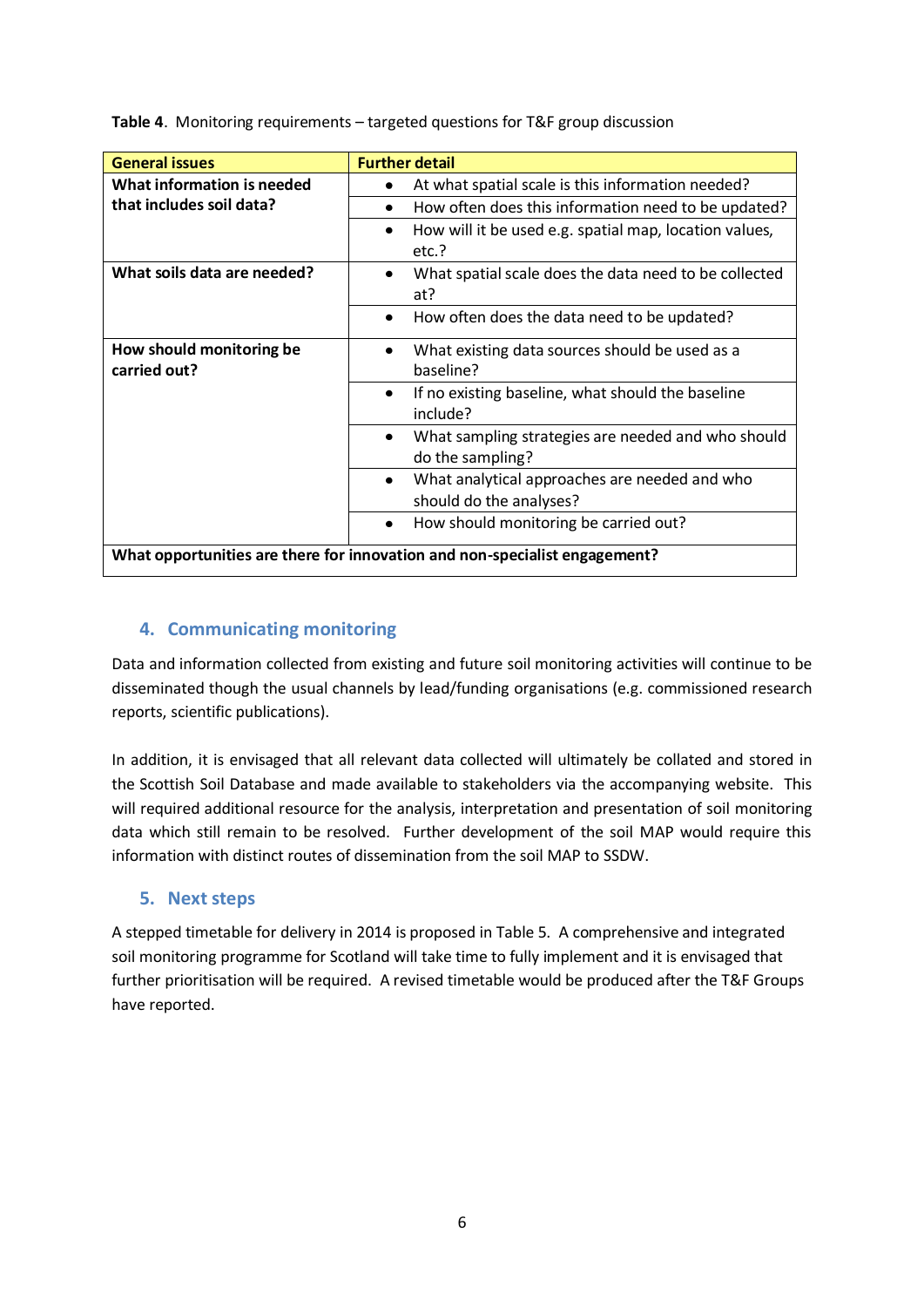| <b>General issues</b>       | <b>Further detail</b>                                                               |
|-----------------------------|-------------------------------------------------------------------------------------|
| What information is needed  | At what spatial scale is this information needed?                                   |
| that includes soil data?    | How often does this information need to be updated?<br>٠                            |
|                             | How will it be used e.g. spatial map, location values,                              |
|                             | etc.?                                                                               |
| What soils data are needed? | What spatial scale does the data need to be collected                               |
|                             | at?                                                                                 |
|                             | How often does the data need to be updated?<br>$\bullet$                            |
| How should monitoring be    | What existing data sources should be used as a                                      |
| carried out?                | baseline?                                                                           |
|                             | If no existing baseline, what should the baseline<br>$\bullet$<br>include?          |
|                             | What sampling strategies are needed and who should<br>$\bullet$<br>do the sampling? |
|                             | What analytical approaches are needed and who<br>$\bullet$                          |
|                             | should do the analyses?                                                             |
|                             | How should monitoring be carried out?<br>$\bullet$                                  |
|                             | What opportunities are there for innovation and non-specialist engagement?          |

**Table 4**. Monitoring requirements – targeted questions for T&F group discussion

### **4. Communicating monitoring**

Data and information collected from existing and future soil monitoring activities will continue to be disseminated though the usual channels by lead/funding organisations (e.g. commissioned research reports, scientific publications).

In addition, it is envisaged that all relevant data collected will ultimately be collated and stored in the Scottish Soil Database and made available to stakeholders via the accompanying website. This will required additional resource for the analysis, interpretation and presentation of soil monitoring data which still remain to be resolved. Further development of the soil MAP would require this information with distinct routes of dissemination from the soil MAP to SSDW.

#### **5. Next steps**

A stepped timetable for delivery in 2014 is proposed in Table 5. A comprehensive and integrated soil monitoring programme for Scotland will take time to fully implement and it is envisaged that further prioritisation will be required. A revised timetable would be produced after the T&F Groups have reported.